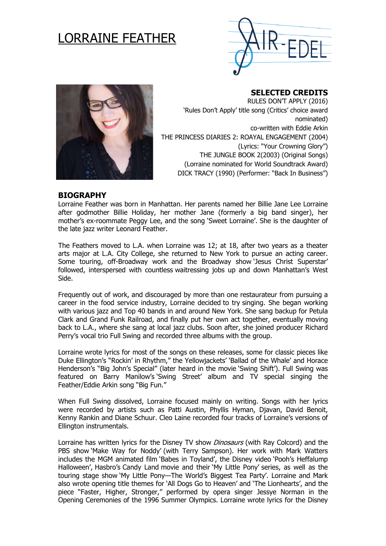# LORRAINE FEATHER





**SELECTED CREDITS**  RULES DON'T APPLY (2016) 'Rules Don't Apply' title song (Critics' choice award nominated) co-written with Eddie Arkin THE PRINCESS DIARIES 2: ROAYAL ENGAGEMENT (2004) (Lyrics: "Your Crowning Glory") THE JUNGLE BOOK 2(2003) (Original Songs) (Lorraine nominated for World Soundtrack Award) DICK TRACY (1990) (Performer: "Back In Business")

## **BIOGRAPHY**

Lorraine Feather was born in Manhattan. Her parents named her Billie Jane Lee Lorraine after godmother Billie Holiday, her mother Jane (formerly a big band singer), her mother's ex-roommate Peggy Lee, and the song 'Sweet Lorraine'. She is the daughter of the late jazz writer Leonard Feather.

The Feathers moved to L.A. when Lorraine was 12; at 18, after two years as a theater arts major at L.A. City College, she returned to New York to pursue an acting career. Some touring, off-Broadway work and the Broadway show 'Jesus Christ Superstar' followed, interspersed with countless waitressing jobs up and down Manhattan's West Side.

Frequently out of work, and discouraged by more than one restaurateur from pursuing a career in the food service industry, Lorraine decided to try singing. She began working with various jazz and Top 40 bands in and around New York. She sang backup for Petula Clark and Grand Funk Railroad, and finally put her own act together, eventually moving back to L.A., where she sang at local jazz clubs. Soon after, she joined producer Richard Perry's vocal trio Full Swing and recorded three albums with the group.

Lorraine wrote lyrics for most of the songs on these releases, some for classic pieces like Duke Ellington's "Rockin' in Rhythm," the Yellowjackets' 'Ballad of the Whale' and Horace Henderson's "Big John's Special" (later heard in the movie 'Swing Shift'). Full Swing was featured on Barry Manilow's 'Swing Street' album and TV special singing the Feather/Eddie Arkin song "Big Fun."

When Full Swing dissolved, Lorraine focused mainly on writing. Songs with her lyrics were recorded by artists such as Patti Austin, Phyllis Hyman, Djavan, David Benoit, Kenny Rankin and Diane Schuur. Cleo Laine recorded four tracks of Lorraine's versions of Ellington instrumentals.

Lorraine has written lyrics for the Disney TV show *Dinosaurs* (with Ray Colcord) and the PBS show 'Make Way for Noddy' (with Terry Sampson). Her work with Mark Watters includes the MGM animated film 'Babes in Toyland', the Disney video 'Pooh's Heffalump Halloween', Hasbro's Candy Land movie and their 'My Little Pony' series, as well as the touring stage show 'My Little Pony—The World's Biggest Tea Party'. Lorraine and Mark also wrote opening title themes for 'All Dogs Go to Heaven' and 'The Lionhearts', and the piece "Faster, Higher, Stronger," performed by opera singer Jessye Norman in the Opening Ceremonies of the 1996 Summer Olympics. Lorraine wrote lyrics for the Disney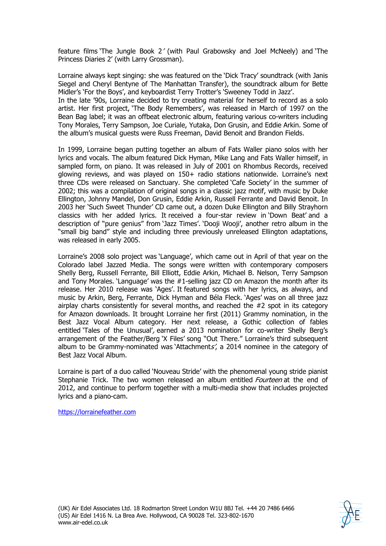feature films 'The Jungle Book 2' (with Paul Grabowsky and Joel McNeely) and 'The Princess Diaries 2' (with Larry Grossman).

Lorraine always kept singing: she was featured on the 'Dick Tracy' soundtrack (with Janis Siegel and Cheryl Bentyne of The Manhattan Transfer), the soundtrack album for Bette Midler's 'For the Boys', and keyboardist Terry Trotter's 'Sweeney Todd in Jazz'.

In the late '90s, Lorraine decided to try creating material for herself to record as a solo artist. Her first project, 'The Body Remembers', was released in March of 1997 on the Bean Bag label; it was an offbeat electronic album, featuring various co-writers including Tony Morales, Terry Sampson, Joe Curiale, Yutaka, Don Grusin, and Eddie Arkin. Some of the album's musical guests were Russ Freeman, David Benoit and Brandon Fields.

In 1999, Lorraine began putting together an album of Fats Waller piano solos with her lyrics and vocals. The album featured Dick Hyman, Mike Lang and Fats Waller himself, in sampled form, on piano. It was released in July of 2001 on Rhombus Records, received glowing reviews, and was played on 150+ radio stations nationwide. Lorraine's next three CDs were released on Sanctuary. She completed 'Cafe Society' in the summer of 2002; this was a compilation of original songs in a classic jazz motif, with music by Duke Ellington, Johnny Mandel, Don Grusin, Eddie Arkin, Russell Ferrante and David Benoit. In 2003 her 'Such Sweet Thunder' CD came out, a dozen Duke Ellington and Billy Strayhorn classics with her added lyrics. It received a four-star review in 'Down Beat' and a description of "pure genius" from 'Jazz Times'. 'Dooji Wooji', another retro album in the "small big band" style and including three previously unreleased Ellington adaptations, was released in early 2005.

Lorraine's 2008 solo project was 'Language', which came out in April of that year on the Colorado label Jazzed Media. The songs were written with contemporary composers Shelly Berg, Russell Ferrante, Bill Elliott, Eddie Arkin, Michael B. Nelson, Terry Sampson and Tony Morales. 'Language' was the #1-selling jazz CD on Amazon the month after its release. Her 2010 release was 'Ages'. It featured songs with her lyrics, as always, and music by Arkin, Berg, Ferrante, Dick Hyman and Béla Fleck. 'Ages' was on all three jazz airplay charts consistently for several months, and reached the #2 spot in its category for Amazon downloads. It brought Lorraine her first (2011) Grammy nomination, in the Best Jazz Vocal Album category. Her next release, a Gothic collection of fables entitled 'Tales of the Unusual', earned a 2013 nomination for co-writer Shelly Berg's arrangement of the Feather/Berg 'X Files' song "Out There." Lorraine's third subsequent album to be Grammy-nominated was 'Attachments', a 2014 nominee in the category of Best Jazz Vocal Album.

Lorraine is part of a duo called 'Nouveau Stride' with the phenomenal young stride pianist Stephanie Trick. The two women released an album entitled *Fourteen* at the end of 2012, and continue to perform together with a multi-media show that includes projected lyrics and a piano-cam.

https://lorrainefeather.com

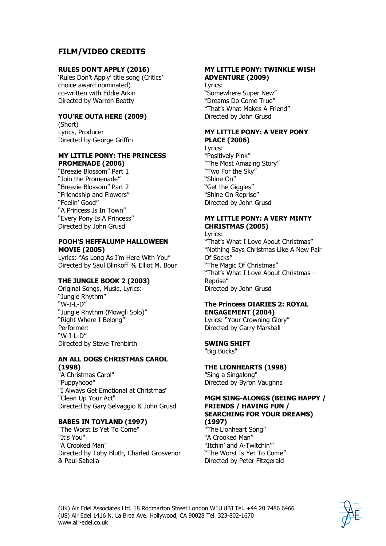# **FILM/VIDEO CREDITS**

## **RULES DON'T APPLY (2016)**

'Rules Don't Apply' title song (Critics' choice award nominated) co-written with Eddie Arkin Directed by Warren Beatty

## **YOU'RE OUTA HERE (2009)**

(Short) Lyrics, Producer Directed by George Griffin

#### **MY LITTLE PONY: THE PRINCESS PROMENADE (2006)**

"Breezie Blossom" Part 1 "Join the Promenade" "Breezie Blossom" Part 2 "Friendship and Flowers" "Feelin' Good" "A Princess Is In Town" "Every Pony Is A Princess" Directed by John Grusd

#### **POOH'S HEFFALUMP HALLOWEEN MOVIE (2005)**

Lyrics: "As Long As I'm Here With You" Directed by Saul Blinkoff % Elliot M. Bour

## **THE JUNGLE BOOK 2 (2003)**

Original Songs, Music, Lyrics: "Jungle Rhythm" "W-I-L-D" "Jungle Rhythm (Mowgli Solo)" "Right Where I Belong" Performer: "W-I-L-D" Directed by Steve Trenbirth

#### **AN ALL DOGS CHRISTMAS CAROL (1998)**

"A Christmas Carol" "Puppyhood" "I Always Get Emotional at Christmas" "Clean Up Your Act" Directed by Gary Selvaggio & John Grusd

## **BABES IN TOYLAND (1997)**

"The Worst Is Yet To Come" "It's You" "A Crooked Man" Directed by Toby Bluth, Charled Grosvenor & Paul Sabella

#### **MY LITTLE PONY: TWINKLE WISH ADVENTURE (2009)**

Lyrics: "Somewhere Super New" "Dreams Do Come True" "That's What Makes A Friend" Directed by John Grusd

#### **MY LITTLE PONY: A VERY PONY PLACE (2006)**

Lyrics: "Positively Pink" "The Most Amazing Story" "Two For the Sky" "Shine On" "Get the Giggles" "Shine On Reprise" Directed by John Grusd

## **MY LITTLE PONY: A VERY MINTY CHRISTMAS (2005)**

Lyrics: "That's What I Love About Christmas" "Nothing Says Christmas Like A New Pair Of Socks" "The Magic Of Christmas" "That's What I Love About Christmas – Reprise" Directed by John Grusd

#### **The Princess DIARIES 2: ROYAL ENGAGEMENT (2004)**

Lyrics: "Your Crowning Glory" Directed by Garry Marshall

#### **SWING SHIFT**

"Big Bucks"

## **THE LIONHEARTS (1998)**

"Sing a Singalong" Directed by Byron Vaughns

#### **MGM SING-ALONGS (BEING HAPPY / FRIENDS / HAVING FUN / SEARCHING FOR YOUR DREAMS) (1997)**

"The Lionheart Song" "A Crooked Man" "Itchin' and A-Twitchin'" "The Worst Is Yet To Come" Directed by Peter Fitzgerald

(UK) Air Edel Associates Ltd. 18 Rodmarton Street London W1U 8BJ Tel. +44 20 7486 6466 (US) Air Edel 1416 N. La Brea Ave. Hollywood, CA 90028 Tel. 323-802-1670 www.air-edel.co.uk

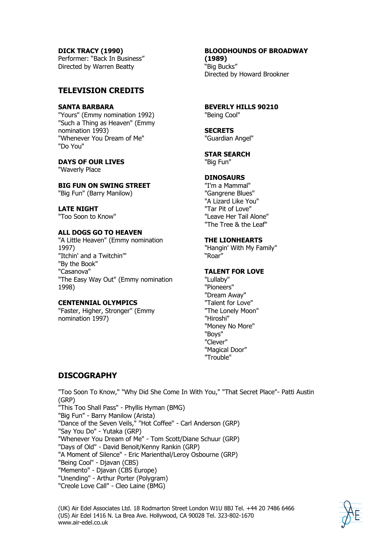**DICK TRACY (1990)**

Performer: "Back In Business" Directed by Warren Beatty

## **TELEVISION CREDITS**

#### **SANTA BARBARA**

"Yours" (Emmy nomination 1992) "Such a Thing as Heaven" (Emmy nomination 1993) "Whenever You Dream of Me" "Do You"

**DAYS OF OUR LIVES**

"Waverly Place

#### **BIG FUN ON SWING STREET**

"Big Fun" (Barry Manilow)

#### **LATE NIGHT**

"Too Soon to Know"

## **ALL DOGS GO TO HEAVEN**

"A Little Heaven" (Emmy nomination 1997) "Itchin' and a Twitchin'" "By the Book" "Casanova" "The Easy Way Out" (Emmy nomination 1998)

## **CENTENNIAL OLYMPICS**

"Faster, Higher, Stronger" (Emmy nomination 1997)

## **BLOODHOUNDS OF BROADWAY (1989)** "Big Bucks"

Directed by Howard Brookner

**BEVERLY HILLS 90210** "Being Cool"

## **SECRETS**

"Guardian Angel"

## **STAR SEARCH**

"Big Fun"

## **DINOSAURS**

"I'm a Mammal" "Gangrene Blues" "A Lizard Like You" "Tar Pit of Love" "Leave Her Tail Alone" "The Tree & the Leaf"

#### **THE LIONHEARTS**

"Hangin' With My Family" "Roar"

## **TALENT FOR LOVE**

"Lullaby" "Pioneers" "Dream Away" "Talent for Love" "The Lonely Moon" "Hiroshi" "Money No More" "Boys" "Clever" "Magical Door" "Trouble"

# **DISCOGRAPHY**

"Too Soon To Know," "Why Did She Come In With You," "That Secret Place"- Patti Austin (GRP) "This Too Shall Pass" - Phyllis Hyman (BMG) "Big Fun" - Barry Manilow (Arista) "Dance of the Seven Veils," "Hot Coffee" - Carl Anderson (GRP) "Say You Do" - Yutaka (GRP) "Whenever You Dream of Me" - Tom Scott/Diane Schuur (GRP) "Days of Old" - David Benoit/Kenny Rankin (GRP) "A Moment of Silence" - Eric Marienthal/Leroy Osbourne (GRP) "Being Cool" - Djavan (CBS) "Memento" - Djavan (CBS Europe) "Unending" - Arthur Porter (Polygram) "Creole Love Call" - Cleo Laine (BMG)